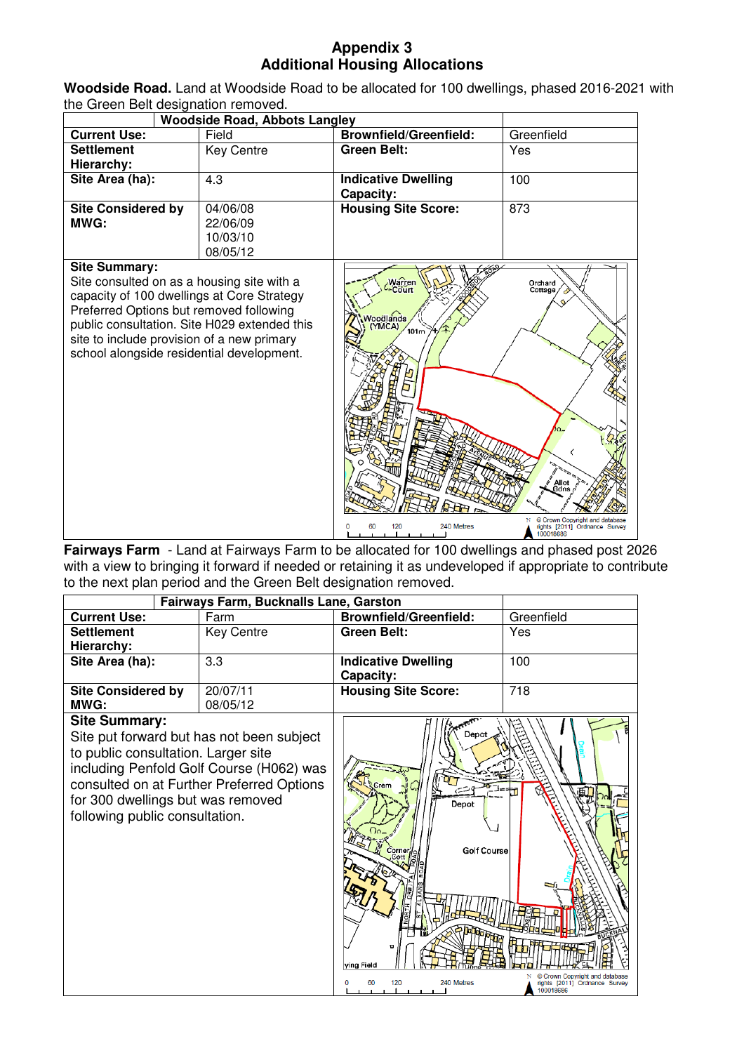## **Appendix 3 Additional Housing Allocations**

**Woodside Road.** Land at Woodside Road to be allocated for 100 dwellings, phased 2016-2021 with the Green Belt designation removed.

| Woodside Road, Abbots Langley                |                   |                               |                                            |
|----------------------------------------------|-------------------|-------------------------------|--------------------------------------------|
| <b>Current Use:</b>                          | Field             | <b>Brownfield/Greenfield:</b> | Greenfield                                 |
| <b>Settlement</b>                            | <b>Key Centre</b> | <b>Green Belt:</b>            | Yes                                        |
| Hierarchy:                                   |                   |                               |                                            |
| Site Area (ha):                              | 4.3               | <b>Indicative Dwelling</b>    | 100                                        |
|                                              |                   | Capacity:                     |                                            |
| <b>Site Considered by</b>                    | 04/06/08          | <b>Housing Site Score:</b>    | 873                                        |
| MWG:                                         | 22/06/09          |                               |                                            |
|                                              | 10/03/10          |                               |                                            |
|                                              | 08/05/12          |                               |                                            |
| <b>Site Summary:</b>                         |                   |                               |                                            |
| Site consulted on as a housing site with a   |                   | Warren<br>"Court              | Orchard<br>Cottage                         |
| capacity of 100 dwellings at Core Strategy   |                   |                               |                                            |
| Preferred Options but removed following      |                   | oodlands                      |                                            |
| public consultation. Site H029 extended this |                   | <b>YMCA)</b><br>101m          |                                            |
| site to include provision of a new primary   |                   |                               |                                            |
| school alongside residential development.    |                   |                               |                                            |
|                                              |                   |                               |                                            |
|                                              |                   |                               |                                            |
|                                              |                   |                               |                                            |
|                                              |                   |                               |                                            |
|                                              |                   |                               |                                            |
|                                              |                   |                               |                                            |
|                                              |                   |                               |                                            |
|                                              |                   |                               |                                            |
|                                              |                   |                               | Allot<br>Gdns                              |
|                                              |                   |                               |                                            |
|                                              |                   |                               | C Crown Copyright and database             |
|                                              |                   | 120<br>240 Metres<br>60       | rights [2011] Ordnance Survey<br>100018686 |
|                                              |                   |                               |                                            |

**Fairways Farm** - Land at Fairways Farm to be allocated for 100 dwellings and phased post 2026 with a view to bringing it forward if needed or retaining it as undeveloped if appropriate to contribute to the next plan period and the Green Belt designation removed.

| <b>Fairways Farm, Bucknalls Lane, Garston</b>                                                                                                                                                                                                                            |                   |                                                                        |                                                                 |
|--------------------------------------------------------------------------------------------------------------------------------------------------------------------------------------------------------------------------------------------------------------------------|-------------------|------------------------------------------------------------------------|-----------------------------------------------------------------|
| <b>Current Use:</b>                                                                                                                                                                                                                                                      | Farm              | <b>Brownfield/Greenfield:</b>                                          | Greenfield                                                      |
| <b>Settlement</b>                                                                                                                                                                                                                                                        | <b>Key Centre</b> | <b>Green Belt:</b>                                                     | Yes                                                             |
| Hierarchy:                                                                                                                                                                                                                                                               |                   |                                                                        |                                                                 |
| Site Area (ha):                                                                                                                                                                                                                                                          | 3.3               | <b>Indicative Dwelling</b>                                             | 100                                                             |
|                                                                                                                                                                                                                                                                          |                   | Capacity:                                                              |                                                                 |
| <b>Site Considered by</b>                                                                                                                                                                                                                                                | 20/07/11          | <b>Housing Site Score:</b>                                             | 718                                                             |
| MWG:                                                                                                                                                                                                                                                                     | 08/05/12          |                                                                        |                                                                 |
| <b>Site Summary:</b><br>Site put forward but has not been subject<br>to public consultation. Larger site<br>including Penfold Golf Course (H062) was<br>consulted on at Further Preferred Options<br>for 300 dwellings but was removed<br>following public consultation. |                   | Depot<br>Depot<br>Golf Course<br>ving Field<br>120<br>240 Metres<br>60 | © Crown Copyright and database<br>rights [2011] Ordnance Survey |
|                                                                                                                                                                                                                                                                          |                   |                                                                        | 100018686                                                       |